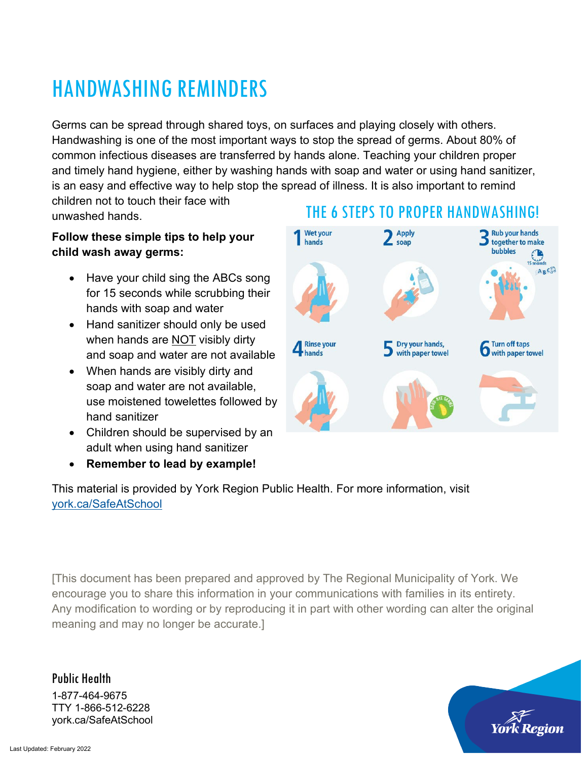### HANDWASHING REMINDERS

Germs can be spread through shared toys, on surfaces and playing closely with others. Handwashing is one of the most important ways to stop the spread of germs. About 80% of common infectious diseases are transferred by hands alone. Teaching your children proper and timely hand hygiene, either by washing hands with soap and water or using hand sanitizer, is an easy and effective way to help stop the spread of illness. It is also important to remind children not to touch their face with

unwashed hands.

#### **Follow these simple tips to help your child wash away germs:**

- Have your child sing the ABCs song for 15 seconds while scrubbing their hands with soap and water
- Hand sanitizer should only be used when hands are NOT visibly dirty and soap and water are not available
- When hands are visibly dirty and soap and water are not available, use moistened towelettes followed by hand sanitizer
- Children should be supervised by an adult when using hand sanitizer
- **Remember to lead by example!**

This material is provided by York Region Public Health. For more information, visit [york.ca/SafeAtSchool](https://www.york.ca/wps/portal/yorkhome/health/yr/covid-19/stayingsafeatschool/stayingsafeatschool/) 

[This document has been prepared and approved by The Regional Municipality of York. We encourage you to share this information in your communications with families in its entirety. Any modification to wording or by reproducing it in part with other wording can alter the original meaning and may no longer be accurate.]

Public Health 1-877-464-9675 TTY 1-866-512-6228 york.ca/SafeAtSchool



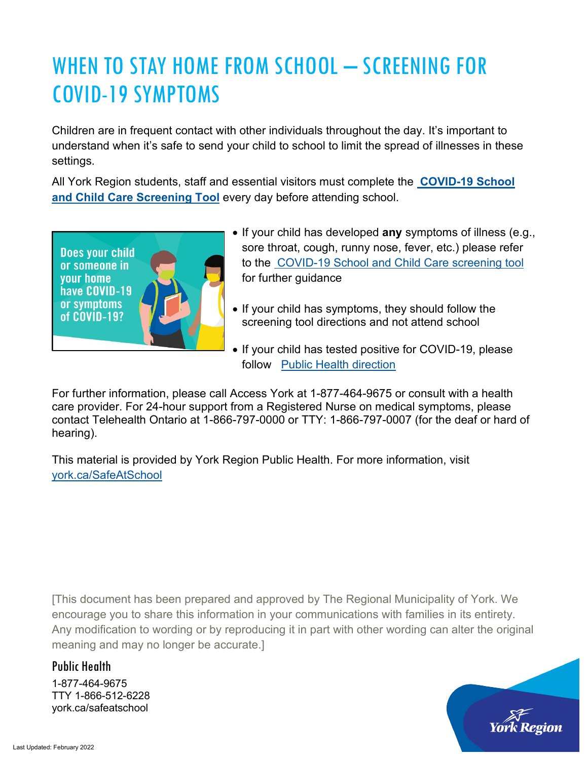## WHEN TO STAY HOME FROM SCHOOL - SCREENING FOR COVID-19 SYMPTOMS

Children are in frequent contact with other individuals throughout the day. It's important to understand when it's safe to send your child to school to limit the spread of illnesses in these settings.

All York Region students, staff and essential visitors must complete the **[COVID-19 School](https://covid-19.ontario.ca/school-screening/)  [and Child Care Screening Tool](https://covid-19.ontario.ca/school-screening/)** every day before attending school.



- If your child has developed **any** symptoms of illness (e.g., sore throat, cough, runny nose, fever, etc.) please refer to the [COVID-19 School and Child Care screening tool](https://covid-19.ontario.ca/school-screening/) for further guidance
- If your child has symptoms, they should follow the screening tool directions and not attend school
- If your child has tested positive for COVID-19, please follow [Public Health direction](https://www.york.ca/wps/portal/yorkhome/health/yr/covid-19/covid19positive/!ut/p/z1/jY_NDoIwEISfxQcg3dYK5dig0hZJTYyKvZjGH2yilCjh4NNLDBcPonuaTb6dmUUGFchUtnWlbZyv7LXbdybcS55KITJQmrIEOGiuSMRgFmO0fQPwZTgg88_9AGCG7dWvgO4Dcs-TvESmts0lcNXZo-LgW3cMcNwrHNf-4RrXnrpC5tMyXTEKcqMivsEaqBz3ACE0FDgBBUIzkPNoOZkygSEjPTDQur6ti-dCgJN89AJWyFYH/dz/d5/L2dBISEvZ0FBIS9nQSEh/#.YQmOz0RKjIV)

For further information, please call Access York at 1-877-464-9675 or consult with a health care provider. For 24-hour support from a Registered Nurse on medical symptoms, please contact Telehealth Ontario at 1-866-797-0000 or TTY: 1-866-797-0007 (for the deaf or hard of hearing).

This material is provided by York Region Public Health. For more information, visit [york.ca/SafeAtSchool](https://www.york.ca/wps/portal/yorkhome/health/yr/covid-19/stayingsafeatschool/stayingsafeatschool/)

[This document has been prepared and approved by The Regional Municipality of York. We encourage you to share this information in your communications with families in its entirety. Any modification to wording or by reproducing it in part with other wording can alter the original meaning and may no longer be accurate.]

### Public Health

1-877-464-9675 TTY 1-866-512-6228 york.ca/safeatschool

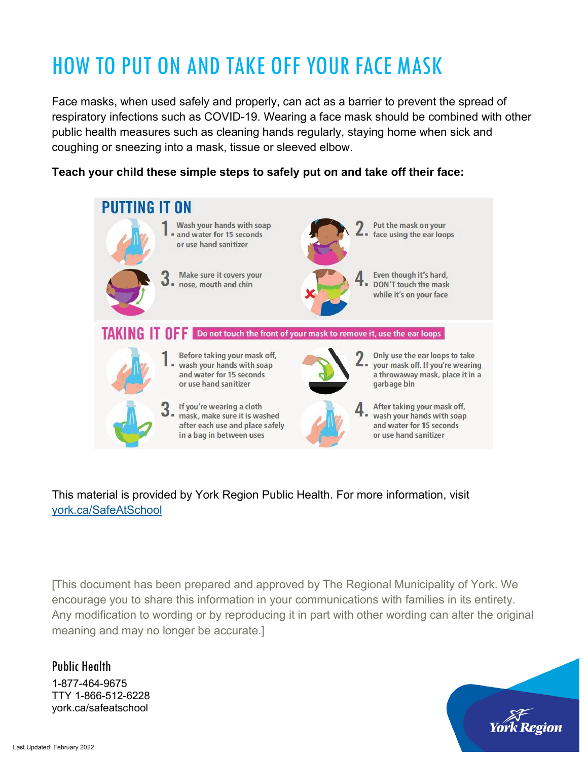# HOW TO PUT ON AND TAKE OFF YOUR FACE MASK

Face masks, when used safely and properly, can act as a barrier to prevent the spread of respiratory infections such as COVID-19. Wearing a face mask should be combined with other public health measures such as cleaning hands regularly, staying home when sick and coughing or sneezing into a mask, tissue or sleeved elbow.

#### **Teach your child these simple steps to safely put on and take off their face:**



### This material is provided by York Region Public Health. For more information, visit [york.ca/SafeAtSchool](https://www.york.ca/wps/portal/yorkhome/health/yr/covid-19/stayingsafeatschool/stayingsafeatschool/)

[This document has been prepared and approved by The Regional Municipality of York. We encourage you to share this information in your communications with families in its entirety. Any modification to wording or by reproducing it in part with other wording can alter the original meaning and may no longer be accurate.]

Public Health 1-877-464-9675 TTY 1-866-512-6228 york.ca/safeatschool